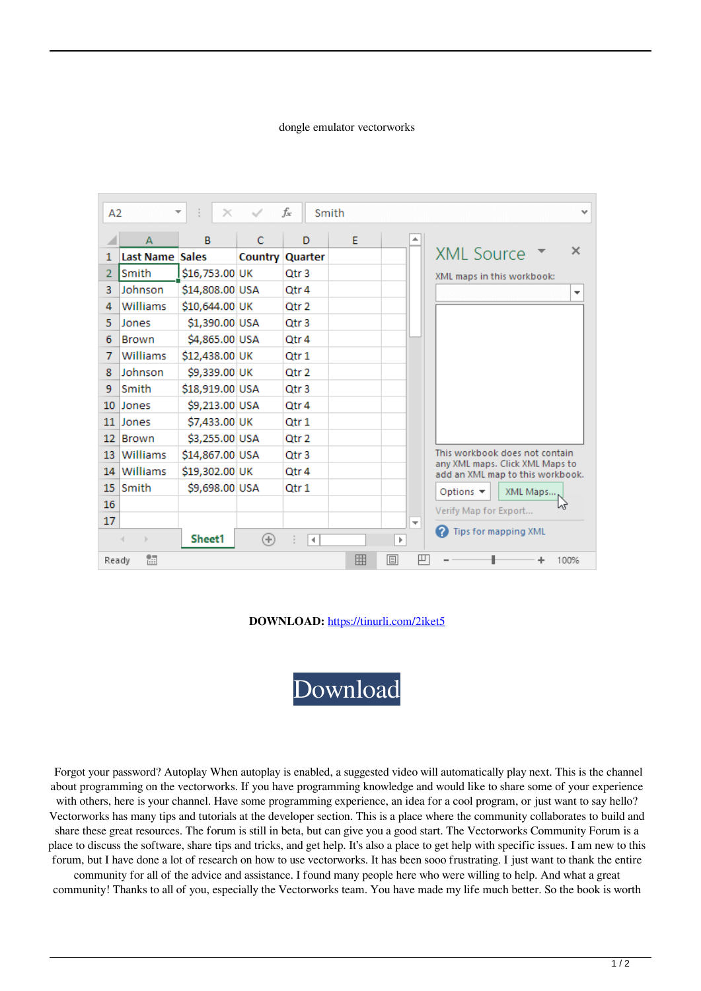## dongle emulator vectorworks

| A2                                |                 | ÷<br>$\overline{\phantom{a}}$<br>$\times$ |   | fx                     | Smith |                          |   | $\checkmark$                                                       |
|-----------------------------------|-----------------|-------------------------------------------|---|------------------------|-------|--------------------------|---|--------------------------------------------------------------------|
|                                   | A               | B                                         | C | D                      | F     |                          |   |                                                                    |
| $\mathbf{1}$                      | Last Name Sales |                                           |   | <b>Country Quarter</b> |       |                          |   | ×<br><b>XML Source</b>                                             |
| $\overline{2}$                    | Smith           | \$16,753.00 UK                            |   | Otr <sub>3</sub>       |       |                          |   | XML maps in this workbook:                                         |
| 3                                 | Johnson         | \$14,808.00 USA                           |   | Qtr 4                  |       |                          |   | ۰                                                                  |
| 4                                 | Williams        | \$10,644.00 UK                            |   | Otr <sub>2</sub>       |       |                          |   |                                                                    |
| 5                                 | Jones           | \$1,390.00 USA                            |   | Qtr 3                  |       |                          |   |                                                                    |
| 6                                 | <b>Brown</b>    | \$4,865.00 USA                            |   | Qtr 4                  |       |                          |   |                                                                    |
| 7                                 | Williams        | \$12,438.00 UK                            |   | Qtr 1                  |       |                          |   |                                                                    |
| 8                                 | Johnson         | \$9,339.00 UK                             |   | Qtr 2                  |       |                          |   |                                                                    |
| 9                                 | Smith           | \$18,919.00 USA                           |   | Qtr 3                  |       |                          |   |                                                                    |
| 10                                | <b>Jones</b>    | \$9,213.00 USA                            |   | Qtr 4                  |       |                          |   |                                                                    |
| 11                                | <b>Jones</b>    | \$7,433.00 UK                             |   | Qtr 1                  |       |                          |   |                                                                    |
| 12                                | <b>Brown</b>    | \$3,255.00 USA                            |   | Qtr 2                  |       |                          |   |                                                                    |
| 13                                | Williams        | \$14,867.00 USA                           |   | Otr <sub>3</sub>       |       |                          |   | This workbook does not contain.<br>any XML maps. Click XML Maps to |
| 14                                | Williams        | \$19,302.00 UK                            |   | Qtr 4                  |       |                          |   | add an XML map to this workbook.                                   |
| 15                                | <b>Smith</b>    | \$9,698.00 USA                            |   | Qtr 1                  |       |                          |   | Options $\blacktriangledown$<br>XML Maps                           |
| 16                                |                 |                                           |   |                        |       |                          |   | ٨ď<br>Verify Map for Export                                        |
| 17                                |                 |                                           |   |                        |       | $\overline{\phantom{a}}$ |   |                                                                    |
|                                   | $\mathbb{R}$    | Sheet1                                    | ⊕ | $\blacktriangleleft$   |       | ь                        | 2 | Tips for mapping XML                                               |
| 囲<br>雷<br>凹<br>圓<br>100%<br>Ready |                 |                                           |   |                        |       |                          |   |                                                                    |

**DOWNLOAD:** <https://tinurli.com/2iket5>

[Download](https://tinurli.com/2iket5)

 Forgot your password? Autoplay When autoplay is enabled, a suggested video will automatically play next. This is the channel about programming on the vectorworks. If you have programming knowledge and would like to share some of your experience with others, here is your channel. Have some programming experience, an idea for a cool program, or just want to say hello? Vectorworks has many tips and tutorials at the developer section. This is a place where the community collaborates to build and share these great resources. The forum is still in beta, but can give you a good start. The Vectorworks Community Forum is a place to discuss the software, share tips and tricks, and get help. It's also a place to get help with specific issues. I am new to this forum, but I have done a lot of research on how to use vectorworks. It has been sooo frustrating. I just want to thank the entire

community for all of the advice and assistance. I found many people here who were willing to help. And what a great community! Thanks to all of you, especially the Vectorworks team. You have made my life much better. So the book is worth